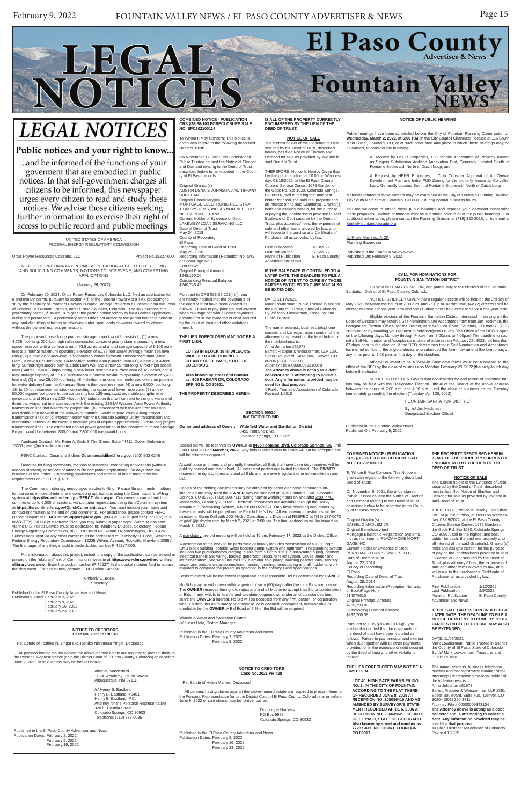

# **LEGAL NOTICES**

### Public notices and your right to know...

... and be informed of the functions of your goverment that are embodied in public notices. In that self-government charges all citizens to be informed, this newspaper urges every citizen to read and study these notices. We advise those citizens seeking further information to exercise their right of access to public record and public meetings.

#### **NOTICE TO CREDITORS Case No. 2022 PR 30045**

Re: Estate of Toshiko N. Yingst aka Toshiko Nishimura Yingst, Deceased

 All persons having claims against the above-named estate are required to present them to the Personal Representative (or to the District Court of El Paso County, Colorado) on or before June 2, 2022 or said claims may be forever barred.

> Alice M. Vanderford 11600 Academy Rd. NE #4224 Albuquerque, NM 87111

/s/ Henry B. Eastland Henry B. Eastland, #3401 Henry B. Eastland, P.C. Attorney for the Personal Representative 320 E. Costilla Street Colorado Springs, CO 80903 Telephone: (719) 578-0035

Published in the El Paso County Advertiser and News Publication Dates: February 2, 2022 February 9, 2022 February 16, 2022

Original Grantor(s) DANIEL D MADLEM JR Original Beneficiary(ies) Mortgage Electronic Registration Systems Inc. as nominee for PLAZA HOME MORT-GAGE INC. Current Holder of Evidence of Debt PENNYMAC LOAN SERVICES, LLC Date of Deed of Trust August 22, 2014 County of Recording El Paso Recording Date of Deed of Trust August 28, 2014

### **COMBINED NOTICE - PUBLICATION CRS §38-38-103 FORECLOSURE SALE NO. EPC202100110**

To Whom It May Concern: This Notice is given with regard to the following described Deed of Trust:

On November 5, 2021, the undersigned Public Trustee caused the Notice of Election and Demand relating to the Deed of Trust described below to be recorded in the County of El Paso records.

Recording Information (Reception No. and/ or Book/Page No.)

214078610 Original Principal Amount \$255,290.00 Outstanding Principal Balance \$232,709.38

Pursuant to CRS §38-38-101(4)(i), you are hereby notified that the covenants of the deed of trust have been violated as follows: Failure to pay principal and interest when due together with all other payments provided for in the evidence of debt secured .<br>by the deed of trust and other violations thereof.

### **THE LIEN FORECLOSED MAY NOT BE A FIRST LIEN.**

**LOT 40, HIGH GATE FARMS FILING NO. 2, IN THE CITY OF FOUNTAIN, ACCORDING TO THE PLAT THERE-OF RECORDED JUNE 8, 2005 AT RECEPTION NO. 205086410 AND AS AMENDED BY SURVEYOR'S STATE-MENT RECORDED APRIL 6, 2006 AT RECEPTION NO. 206049621, COUNTY OF EL PASO, STATE OF COLORADO. Also known by street and number as: 7728 SAPLING COURT, FOUNTAIN, CO 80817.**

**THE PROPERTY DESCRIBED HEREIN IS ALL OF THE PROPERTY CURRENTLY ENCUMBERED BY THE LIEN OF THE DEED OF TRUST.**

### **NOTICE OF SALE**

The current holder of the Evidence of Debt secured by the Deed of Trust, described herein, has filed Notice of Election and Demand for sale as provided by law and in said Deed of Trust.

**Also known by street and number as: 605 RAEMAR DR, COLORADO SPRINGS, CO 80911.**

> THEREFORE, Notice Is Hereby Given that I will at public auction, at 10:00 on Wednesday, 03/09/2022, at the El Paso County Citizens Service Center, 1675 Garden of the Gods Rd. Ste 1020, Colorado Springs, CO 80907, sell to the highest and best bidder for cash, the said real property and all interest of the said Grantor(s), Grantor(s)' heirs and assigns therein, for the purpose of paying the indebtedness provided in said Evidence of Debt secured by the Deed of Trust, plus attorneys' fees, the expenses of sale and other items allowed by law, and will issue to the purchaser a Certificate of Purchase, all as provided by law.

First Publication 1/19/2022<br>Last Publication 2/16/2022<br>Name of Publication El Paso County Last Publication name of Publication Advertiser and News

> First Publication 1/12/2022 Last Publication 2/9/2022 Name of Publication El Paso County Advertiser and News

### **IF THE SALE DATE IS CONTINUED TO A LATER DATE, THE DEADLINE TO FILE A NOTICE OF INTENT TO CURE BY THOSE PARTIES ENTITLED TO CURE MAY ALSO BE EXTENDED;**

#### DATE: 11/05/2021

Mark Lowderman, Public Trustee in and for the County of El Paso, State of Colorado By: /s/ Mark Lowderman, Treasurer and Public Trustee

The name, address, business telephone number and bar registration number of the attorney(s) representing the legal holder of the indebtedness is: Anna Johnston #51978 Barrett Frappier & Weisserman, LLP 1391 Speer Boulevard, Suite 700, Denver, CO 80204 (303) 350-3711 Attorney File # 00000009343104 **The Attorney above is acting as a debt collector and is attempting to collect a debt. Any information provided may be used for that purpose.** ©Public Trustees' Association of Colorado Revised 1/2015

**COMBINED NOTICE - PUBLICATION CRS §38-38-103 FORECLOSURE SALE NO. EPC202100114**

To Whom It May Concern: This Notice is given with regard to the following described Deed of Trust:

On November 17, 2021, the undersigned Public Trustee caused the Notice of Election and Demand relating to the Deed of Trust described below to be recorded in the County of El Paso records.

Original Grantor(s) AUSTIN DENNIS JOHNSON AND TIFFANY BURCHAM Original Beneficiary(ies) MORTGAGE ELECTRONIC REGISTRA-TION SYSTEMS, INC. AS NOMINEE FOR NORTHPOINTE BANK Current Holder of Evidence of Debt LAKEVIEW LOAN SERVICING LLC Date of Deed of Trust May 24, 2018 County of Recording El Paso Recording Date of Deed of Trust May 25, 2018 Recording Information (Reception No. and/ or Book/Page No.) 218059525 Original Principal Amount \$245,160.00

Outstanding Principal Balance \$240,746.49

Pursuant to CRS §38-38-101(4)(i), you are hereby notified that the covenants of the deed of trust have been violated as follows: Failure to pay principal and interest when due together with all other payments provided for in the evidence of debt secured by the deed of trust and other violations thereof.

**THE LIEN FORECLOSED MAY NOT BE A FIRST LIEN.**

**LOT 29 IN BLOCK 19 IN WILSON'S WIDEFIELD ADDITION NO. 7, COUNTY OF EL PASO, STATE OF COLORADO.**

**THE PROPERTY DESCRIBED HEREIN** 

#### **IS ALL OF THE PROPERTY CURRENTLY ENCUMBERED BY THE LIEN OF THE DEED OF TRUST.**

**NOTICE OF SALE** The current holder of the Evidence of Debt

secured by the Deed of Trust, described herein, has filed Notice of Election and Demand for sale as provided by law and in said Deed of Trust. THEREFORE, Notice Is Hereby Given that I will at public auction, at 10:00 on Wednes-

day, 03/16/2022, at the El Paso County Citizens Service Center, 1675 Garden of the Gods Rd. Ste 1020, Colorado Springs, CO 80907, sell to the highest and best bidder for cash, the said real property and all interest of the said Grantor(s), Grantor(s)' heirs and assigns therein, for the purpose of paying the indebtedness provided in said Evidence of Debt secured by the Deed of Trust, plus attorneys' fees, the expenses of sale and other items allowed by law, and will issue to the purchaser a Certificate of Purchase, all as provided by law.

Dominique Horness PO Box 9956 Colorado Springs, CO 80932

**IF THE SALE DATE IS CONTINUED TO A LATER DATE, THE DEADLINE TO FILE A NOTICE OF INTENT TO CURE BY THOSE PARTIES ENTITLED TO CURE MAY ALSO BE EXTENDED;**

### DATE: 11/17/2021

Mark Lowderman, Public Trustee in and for the County of El Paso, State of Colorado By: /s/ Mark Lowderman, Treasurer and Public Trustee The name, address, business telephone

number and bar registration number of the attorney(s) representing the legal holder of the indebtedness is: Anna Johnston #51978 Barrett Frappier & Weisserman, LLP 1391 Speer Boulevard, Suite 700, Denver, CO 80204 (303) 350-3711 Attorney File # 00000009316878 **The Attorney above is acting as a debt collector and is attempting to collect a debt. Any information provided may be used for that purpose.** ©Public Trustees' Association of Colorado Revised 1/2015

UNITED STATES OF AMERICA FEDERAL ENERGY REGULATORY COMMISSION

Ortus Power Resources Colorado, LLC <br>
Project No.15227-000

NOTICE OF PRELIMINARY PERMIT APPLICATION ACCEPTED FOR FILING AND SOLICITING COMMENTS, MOTIONS TO INTERVENE, AND COMPETING APPLICATIONS

### (January 26, 2022)

On February 25, 2021, Ortus Power Resources Colorado, LLC, filed an application for a preliminary permit, pursuant to section 4(f) of the Federal Power Act (FPA), proposing to study the feasibility of Phantom Canyon Pumped Storage Project to be located near the Town of Penrose, in Fremont, Pueblo, and El Paso Counties, Colorado. The sole purpose of a preliminary permit, if issued, is to grant the permit holder priority to file a license application during the permit term. A preliminary permit does not authorize the permit holder to perform any land-disturbing activities or otherwise enter upon lands or waters owned by others without the owners' express permission.

/s/ Kristy Martinez, AICP Planning Supervisor

The proposed closed-loop pumped storage project would consist of: (1) a new 4,728-foot-long, 202-foot-high roller compacted concrete gravity dam impounding a new upper reservoir with a surface area of 93.8 acres, and a total storage capacity of 9,100 acre-feet at a normal maximum operating elevation of 6,176 feet above average mean sea level (msl); (2) a new 2,638-foot-long, 132-foot-high zoned fill/rockfill embankment dam (Main Dam), a new 4,071-foot-long, 64-foot-high saddle dam (Saddle Dam #1), a new 2,104-footlong, 58-foot-high saddle dam (Saddle Dam #2), and a new 55-foot-long, 8-foot-high saddle dam (Saddle Dam #3) impounding a new lower reservoir a surface area of 322 acres, and a total storage capacity of 17,436 acre-feet at a normal maximum operating elevation of 5,630 feet msl; (3) a new 29,000-foot-long, 48-inch-diameter concrete reinforced diversion pipeline for water delivery from the Arkansas River to the lower reservoir; (4) a new 6,500-foot-long, 18- to 20-foot-diameter penstock connecting the upper and lower reservoirs; (5) a new 50,000 square foot powerhouse containing four 125-megawatt reversible pump/turbine generators; and (6) a new 230-kilovolt (kV) substation that will connect to the grid via one of three pathways: (a) interconnection with the existing 230-kV Western Area Power Authority transmission line that bisects the project site; (b) interconnect with the Xcel transmission and distribution network at the Midway substation (would require 28-mile-long project transmission line); or (c) interconnection with the Colorado Springs Utility transmission and distribution network at the Nixon substation (would require approximately 33-mile-long project transmission line). The estimated annual power generation at the Phantom Pumped Storage Project would be between 800,00 and 2,800,000 megawatt hours.

Applicant Contact: Mr. Peter A. Gish, 8 The Green, Suite #4411, Dover, Delaware, 13301 **peter@ortusclimate.com**

FERC Contact: Ousmane Sidibe; **Ousmane.sidibe@ferc.gov**, (202) 502-6245

Deadline for filing comments, motions to intervene, competing applications (without notices of intent), or notices of intent to file competing applications: 60 days from the issuance of this notice. Competing applications and notices of intent must meet the requirements of 18 C.F.R. § 4.36.

The Commission strongly encourages electronic filing. Please file comments, motions to intervene, notices of intent, and competing applications using the Commission's eFiling system at **https://ferconline.ferc.gov/FERCOnline.aspx**. Commenters can submit brief comments up to 6,000 characters, without prior registration, using the eComment system at **https://ferconline.ferc.gov/QuickComment. aspx**. You must include your name and contact information at the end of your comments. For assistance, please contact FERC Online Support at **FERCOnlineSupport@ferc.gov**, (866) 208-3676 (toll free), or (202) 502- 8659 (TTY). In lieu of electronic filing, you may submit a paper copy. Submissions sent via the U.S. Postal Service must be addressed to: Kimberly D. Bose, Secretary, Federal Energy Regulatory Commission, 888 First Street NE, Room 1A, Washington, DC 20426. Submissions sent via any other carrier must be addressed to: Kimberly D. Bose, Secretary, Federal Energy Regulatory Commission, 12225 Wilkins Avenue, Rockville, Maryland 20852. The first page of any filing should include docket number P-15227-000.

More information about this project, including a copy of the application, can be viewed or printed on the "eLibrary" link of Commission's website at **https://www.ferc.gov/ferc-online/ elibrary/overview**. Enter the docket number (P-15227) in the docket number field to access the document. For assistance, contact FERC Online Support.

### Kimberly D. Bose,

### Secretary.

Published in the El Paso County Advertiser and News Publication Dates: February 2, 2022 February 9, 2022 February 16, 2022 February 23, 2022

#### **NOTICE TO CREDITORS Case No. 2021 PR 428**

Re: Estate of Helen Manies, Dece

 All persons having claims against the above-named estate are required to present them to the Personal Representative (or to the District Court of El Paso County, Colorado) on or before June 9, 2022 or said claims may be forever barred.

Published in the El Paso County Advertiser and News Publication Dates: February 9, 2022 February 16, 2022 February 23, 2022

### **SECTION 00020 INVITATION TO BID**

**Owner and address of Owner: Widefield Water and Sanitation District** 8495 Fontaine Blvd. Colorado Springs, CO 80925

Sealed bid will be received by **OWNER** at **8495 Fontaine Blvd, Colorado Springs, CO** until 2:00 PM MDST on **March 9, 2022.** Any bids received after this time will not be accepted and will be returned unopened.

At said place and time, and promptly thereafter, all Bids that have been duly received will be publicly opened and read aloud. All interested parties are invited to attend. The **OWNER**  reserves the right to reject any and all Bids and to waive irregularities or informalities in any bid.

Copies of the bidding documents may be obtained by either electronic documents online, or a hard copy from the **OWNER** may be obtained at 8495 Fontaine Blvd, Colorado Springs, CO 80925, (719) 390-7111 during normal working hours on and after 2:00 P.M., <u>Wednesday, February 2, 2022</u>. Electronic documents are available through the Rocky<br>Mountain E-Purchasing System, e-bid # 0000278827. Only firms obtaining documents by these methods will be placed on the Plan holder's List. All engineering questions shall be directed to Gwen Dall with JDS-Hydro Consultants, a Division of RESPEC at (719) 227-0072<br>or <u>gdall@jdshydro.com</u> by March 2, 2022 at 2:00 pm. The final addendum will be issued on March 3, 2022.

A mandatory pre-bid meeting will be held at 10 am, February 17, 2022 at the District Office.

A description of the work to be performed generally includes construction of a 1,351 sq ft CMU block building, potable water booster pump system and bathroom. The pumps/motors ranging in size from 1 HP to 125 HP, associate

Basis of award will be the lowest responsive and responsible Bid as determined by **OWNER.**

No Bids may be withdrawn within a period of sixty (60) days after the date Bids are opened. The **OWNER** reserves the right to reject any and all bids or to accept that Bid or combination

of Bids, if any, which, in its sole and absolute judgment will under all circumstances best serve the **OWNER's** interest. No Bid will be accepted from any firm, person, or corporation who is a defaulter as to surety or otherwise, or is deemed incompetent, irresponsible or unreliable by the **OWNER**. A Bid Bond of 5 % of the Bid will be required.

Widefield Water and Sanitation District /s/ Lucas Hale, District Manager

Published in the El Paso County Advertiser and News Publication Dates: February 2, 2022 February 9, 2022

### **CALL FOR NOMINATIONS FOR FOUNTAIN SANITATION DISTRICT**

TO WHOM IT MAY CONCERN, and particularly to the electors of the Fountain Sanitation District of El Paso County, Colorado.

NOTICE IS HEREBY GIVEN that a regular election will be held on the 3rd day of May 2022, between the hours of 7:00 a.m. and 7:00 p.m. At that time, two (2) directors will be elected to serve a three-year term and one (1) director will be elected to serve a one-year term.

Eligible electors of the Fountain Sanitation District interested in serving on the Board of Directors may obtain a Self-Nomination and Acceptance form from Jim Heckman, the Designated Election Official for the District, at 11545 Link Road, Fountain, CO 80817, (719) 382-5303 or by emailing your request to <u>fsdistrict@fsd901.org</u>. The Office of the DEO is open<br>on the following days: Monday through Friday from 7:00a.m. to 4:00p.m. The deadline to submit a Self-Nomination and Acceptance is close of business on February 25, 2022, not less than 67 days prior to the election. If the DEO determines that a Self-Nomination and Acceptance form is not sufficient, the eligible elector who submitted the form may amend the form once, at any time, prior to 3:00 p.m. on the day of the deadline.

Affidavit of Intent to be a Write-In Candidate forms must be submitted to the office of the DEO by the close of business on Monday, February 28, 2022 (the sixty-fourth day before the election).

NOTICE IS FURTHER GIVEN that applications for and return of absentee ballots may be filed with the Designated Election Official of the District at the above address between the hours of 7:00 a.m. and 4:00 p.m., until the close of business on the Tuesday immediately preceding the election (Tuesday, April 26, 2022).

FOUNTAIN SANITATION DISTRICT

By: /s/ Jim Heckman Designated Election Official

Published in the Fountain Valley News Published On: February 9, 2022

### **NOTICE OF PUBLIC HEARING**

Public hearings have been scheduled before the City of Fountain Planning Commission on **Wednesday, March 2, 2022, at 6:00 P.M.** in the City Council Chambers, located at 116 South Main Street, Fountain, CO, or at such other time and place to which these hearings may be adjourned, to consider the following:

> A Request by HPHR Properties, LLC for the Annexation of Property Known as Singers Subdivision Addition Annexation Plat, Generally Located South of Fontaine Boulevard, North of Dutch Loop; and

> A Request by HPHR Properties, LLC to Consider Approval of An Overall Development Plan and Initial PUD Zoning for the property known as Corvallis-Lacy, Generally Located South of Fontaine Boulevard, North of Dutch Loop

Materials related to these matters may be examined at the City of Fountain Planning Division, 116 South Main Street, Fountain, CO 80817 during normal business hours.

You are welcome to attend these public hearings and express your viewpoint concerning these proposals. Written comments may be submitted prior to or at the public hearings. For additional information, please contact the Planning Division at (719) 322-2015, or by email at Kristy@fountaincolorado.org.

Published in the Fountain Valley News Published On: February 9, 2022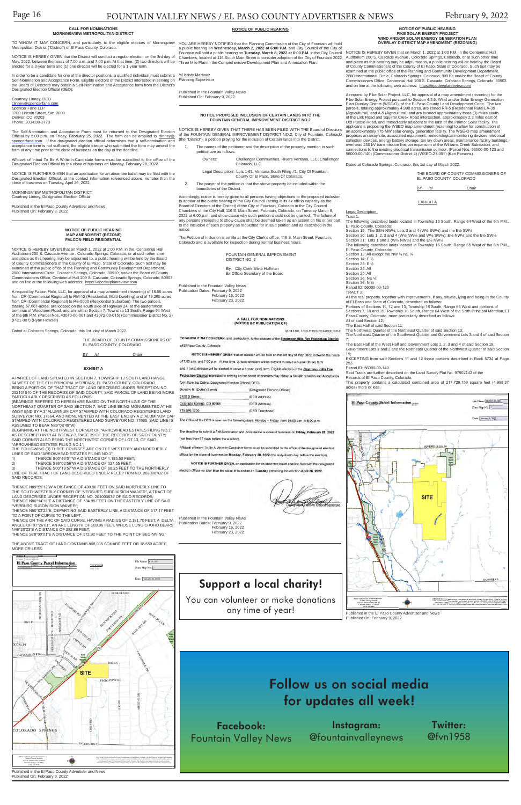## **Support a local charity!**

You can volunteer or make donations any time of year!



#### **CALL FOR NOMINATIONS MORNINGVIEW METROPOLITAN DISTRICT**

In order to be a candidate for one of the director positions, a qualified individual must submit a  $/s/$  Kristy Martinez Self-Nomination and Acceptance Form. Eligible electors of the District interested in serving on the Board of Directors may obtain a Self-Nomination and Acceptance form from the District's Planning Supervisor Designated Election Official (DEO):

NOTICE IS HEREBY GIVEN that the District will conduct a regular election on the 3rd day of May, 2022, between the hours of 7:00 a.m. and 7:00 p.m. At that time, (2) two directors will be Three Mile Plan in the Comprehensive Development Plan and Annexation Plan. elected for a 3-year term and (1) one director will be elected for a 1-year term.

The Self-Nomination and Acceptance Form must be returned to the Designated Election<br>Official by 5:00 p.m. on Friday, February 25, 2022. The form can be emailed to <u>clinney@</u> spencerfane.com. If the designated election official determines that a self-nomination and acceptance form is not sufficient, the eligible elector who submitted the form may amend the form at any time prior to the close of business on the day of the deadline.

MORNINGVIEW METROPOLITAN DISTRICT Courtney Linney, Designated Election Officia

Courtney Linney, DEO <u>clinney@spencerfane.com</u><br>Spencer Fane LLP<br>1700 Lincoln Street, Ste. 2000 Denver, CO 80203 Phone: 303-839-3778

TO WHOM IT MAY CONCERN, and particularly, to the eligible electors of Morningview YOU ARE HEREBY NOTIFIED that the Planning Commission of the City of Fountain will hold<br>Metropolitan District ("District") of El Paso County, a public hearing on **Wednesday, March 2, 2022 at 6:00 P.M.** and City Council of the City of Fountain will hold a public hearing on **Tuesday, March 8, 2022 at 6:00 P.M.** in the City Council Chambers, located at 116 South Main Street to consider adoption of the City of Fountain 2022

- The names of the petitioner and the description of the property mention in such petition are as follows:
	- Owners: Challenger Communities, Rivers Ventana, LLC, Challenger Colorado, LLC

Affidavit of Intent To Be A Write-In-Candidate forms must be submitted to the office of the Designated Election Official by the close of business on Monday, February 28, 2022.

NOTICE IS FURTHER GIVEN that an application for an absentee ballot may be filed with the Designated Election Official, at the contact information referenced above, no later than the close of business on Tuesday, April 26, 2022.

Published in the El Paso County Advertiser and News Published On: February 9, 2022

|--|

NOTICE IS HEREBY GIVEN that on March 1, 2022 at 1:00 P.M. in the Centennial Hall Auditorium 200 S. Cascade Avenue , Colorado Springs, Colorado, or at such other time and place as this hearing may be adjourned to, a public hearing will be held by the Board<br>of County Commissioners of the County of El Paso, State of Colorado, Such text may be<br>examined at the public office of the Planning 2880 International Circle, Colorado Springs, Colorado, 80910; and/or the Board of County Commissioners Office, Centennial Hall 200 S. Cascade, Colorado Springs, Colorado, 80903 and on line at the following web address: https://epcdevplanreview.com

Published in the Fountain Valley News Published On: February 9, 2022

### **NOTICE PROPOSED INCLUSION OF CERTAIN LANDS INTO THE FOUNTAIN GENERAL IMPROVEMENT DISTRICT NO.2**

NOTICE IS HEREBY GIVEN THAT THERE HAS BEEN FILED WITH THE Board of Directors of the FOUNTAIN GENERAL IMPROVEMENT DISTRICT NO.2, City of Fountain, Colorado (the "District"), a petition praying for the inclusion of Certain lands into the District.

> Legal Description: Lots 1-61, Ventana South Filing #1, City Of Fountain, County Of El Paso, State Of Colorado.

2. The prayer of the petition is that the above property be included within the boundaries of the District.

> Section 30: Lots 1, 2, 3 and 4 (W½ NW¼ and W½ SW¼); E½ NW¼ and the E½ SW¼ Section 31: Lots 1 and 2 (W½ NW¼) and the E½ NW¼<br>The following described lands located in Township 16 South, Range 65 West of the 6th P.M.,

El Paso County, Colorado: Section 13: All except the NW % NE %

Section 25: All Section 26: NE 1/4

Portions of Sections 11, 12 and 13, Township 16 South, Range 65 West and portions of Sections 7, 18 and 19, Township 16 South, Range 64 West of the Sixth Principal Meridian, El Paso County, Colorado, more particularly described as follows: All of said Section 12;

The East Half of said Section 11;

Accordingly, notice is hereby given to all persons having objections to the proposed inclusion to appear at the public hearing of the City Council (acting in its ex officio capacity as the Board of Directors of the District) of the City of Fountain, Colorado in the City Council Chambers of the City Hall, 116 S. Main Street, Fountain, Colorado, on Tuesday March 8, 2022 at 6:00 p.m. and show cause why such petition should not be granted. The failure of any persons interested to show cause shall be deemed taken as an assent on his or her part to the inclusion of such property as requested for in said petition and as described in the notice.

The Petition of inclusion is on file at the City Clerk's office, 116 S. Main Street, Fountain, Colorado and is available for inspection during normal business hours.

> Records of El Paso County, Colorado.<br>This property contains a calculated  $\frac{1}{2}$  calculated combined area of 217,729,159 square feet (4,998.37 acres) more or less.

File Name: WSEO-21-001 El Paso County Parcel Information Zone Map  $Na:$   $-$ Date: January 3, 2022 **SITE** 



Zone Map No.: -Date: January 26, 2022

File Name: P-21-007

 FOUNTAIN GENERAL IMPROVEMENT DISTRICT NO. 2

NOTICE IS HEREBY GIVEN that on March 1, 2022 at 1:00 P.M. in the Centennial Hall Auditorium 200 S. Cascade Avenue , Colorado Springs, Colorado, or at such other time and place as this hearing may be adjourned to, a public hearing will be held by the Board of County Commissioners of the County of El Paso, State of Colorado, Such text may be examined at the public office of the Planning and Community Development Department, 2880 International Circle, Colorado Springs, Colorado, 80910; and/or the Board of County Commissioners Office, Centennial Hall 200 S. Cascade, Colorado Springs, Colorado, 80903<br>and on line at the following web address: <u>https://epcdevplanreview.com</u>

By: City Clerk Silvia Huffman Ex Officio Secretary of the Board

Published in the Fountain Valley News Publication Dates: February 9, 2022 February 16, 2022 February 23, 2022

#### **A CALL FOR NOMINATIONS** (NOTICE BY PUBLICATION OF)

\$1-13.5-501 1-13.5-1102(3):32-1-905(2): C.R.S.

TO WHOM IT MAY CONCERN, and, particularly, to the electors of the Stratmoor Hills Fire Protection District of El Paso County, Colorado

NOTICE IS HEREBY GIVEN that an election will be held on the 3rd day of May 2022, between the hours

of 7:00 a.m. and 7:00 p.m. At that time. 2 (two) directors will be elected to serve a 3-year (three) term and 1 (one) director will be elected to serve a 1-year (one) term. Eligible electors of the Stratmoor Hills Fire Protection District interested in serving on the board of directors may obtain a Self-Nomination and Acceptance

form from the District Designated Election Official (DEO) **Contractor** 

| morning in Impriso harriotti | <b>Incentivation Election Anticial</b> |
|------------------------------|----------------------------------------|
| 2160 B Street                | (DEO Address)                          |
| Colorado Springs, CO 80906   | (DEO Address)                          |
| 719.576.1200                 | (DEO Telephone)                        |

The Office of the DEO is open on the following days: Monday - Friday, from 08:00 a.m. to \$:00 p.m.

The deadline to submit a Self-Nomination and Acceptance is close of business on Friday, February 25, 2022 (not less than 67 days before the election)

Affidavit of intent To Be A Write-In-Candidate forms must be submitted to the office of the designated election official by the close of business on Monday, February 28, 2022 (the sixty-fourth day before the election).

NOTICE IS FURTHER GIVEN, an application for an absentee ballot shall be filed with the design

election official no later than the close of business on Tuesday preceding the election April 26, 2022.



**NOTICE OF PUBLIC HEARING PIKE SOLAR ENERGY PROJECT WIND AND/OR SOLAR ENERGY GENERATION PLAN OVERLAY DISTRICT MAP AMENDMENT (REZONING)**

(BEARINGS REFERED TO HEREIN ARE BASED ON THE NORTH LINE OF THE<br>NORTHEAST QUARTER OF SAID SECTION 7, SAID LINE BEING MONUMENTED AT HE<br>WEST END BY A 3" ALUMINUM CAP STAMPED WITH COLORADO REGISTERED LAND SURVEYOR NO. 17664, AND MONUMENTED AT THE EAST END BY A 2" ALUMINUM CAP STAMPED WITH COLORADO REGISTERED LAND SURVEYOR NO. 17665, SAID LINE IS A request by Pike Solar Project, LLC, for approval of a map amendment (rezoning) for the Pike Solar Energy Project pursuant to Section 4.3.5, Wind and/or Solar Energy Generation<br>Plan Overlay District (WSE-O), of the El Paso County Land Development Code. The two<br>parcels, totaling approximately 4,998 acres, are of the Link Road and Squirrel Creek Road intersection, approximately 2.3 miles east of Old Pueblo Road, and immediately adjacent to the east of the Palmer Solar facility. The applicant is proposing the WSEO map amendment (rezoning) to allow for construction of<br>an approximately 175 MW solar energy generation facility. The WSE-O map amendment<br>proposes an array site, associated equipment, meteorol overhead 230 kV transmission line, an expansion of the Williams Creek Substation, and connections to the existing electrical transmission corridor. (Parcel Nos. 56000-00-123 and 56000-00-140) (Commissioner District 4) (WSEO-21-001) (Kari Parsons)

THE ABOVE TRACT OF LAND CONTAINS 808,035 SQUARE FEET OR 18.550 ACRES MORE OR LESS.

Dated at Colorado Springs, Colorado, this 1st day of March 2022.

THE BOARD OF COUNTY COMMISSIONERS OF EL PASO COUNTY, COLORADO

BY /s/ Chair

EXHIBIT A

Legal Description

Tract 1: The following described lands located in Township 16 South, Range 64 West of the 6th P.M.,

El Paso County, Colorado: Section 19: The SE¼ NW¼; Lots 3 and 4 (W½ SW¼) and the E½ SW¼

Section 14: E ½

Section 23: E ½

Section 24: All

Section 36: N ½

Parcel ID: 56000-00-123

TRACT 2:

All the real property, together with improvements, if any, situate, lying and being in the County of El Paso and State of Colorado, described as follows:

The Northwest Quarter of the Northeast Quarter of said Section 13;

The Northeast Quarter of the Southwest Quarter and Government Lots 3 and 4 of said Section 7;

The East Half of the West Half and Government Lots 1, 2, 3 and 4 of said Section 18; Government Lots 1 and 2 and the Northeast Quarter of the Northwest Quarter of said Section 19;

EXCEPTING from said Sections 11 and 12 those portions described in Book 5734 at Page 253.

Parcel ID: 56000-00-140

Said Tracts are further described on the Land Survey Plat No. 97902142 of the

Published in the El Paso County Advertiser and News Published On: February 9, 2022

### **NOTICE OF PUBLIC HEARING MAP AMENDMENT (REZONE) FALCON FIELD RESIDENTIAL**

A request by Falcon Field, LLC, for approval of a map amendment (rezoning) of 18.55 acres from CR (Commercial Regional) to RM-12 (Residential, Multi-Dwelling) and of 19.265 acres from CR (Commercial Regional) to RS-5000 (Residential Suburban). The two parcels, totaling 57.667-acres, are located on the south side of Highway 24, at the easternmost terminus of Woodmen Road, and are within Section 7, Township 13 South, Range 64 West of the 6th P.M. (Parcel Nos. 43070-00-001 and 43072-00-015) (Commissioner District No. 2) (P-21-007) (Ryan Howser)

Dated at Colorado Springs, Colorado, this 1st day of March 2022.

THE BOARD OF COUNTY COMMISSIONERS OF EL PASO COUNTY, COLORADO

**BY** /s/ Chair

### **EXHIBIT A**

A PARCEL OF LAND SITUATED IN SECTION 7, TOWNSHIP 13 SOUTH, AND RANGE 64 WEST OF THE 6TH PRINCIPAL MERIDIAN, EL PASO COUNTY, COLORADO, BEING A PORTION OF THAT TRACT OF LAND DESCRIBED UNDER RECEPTION NO. 202131510 OF THE RECORDS OF SAID COUNTY, SAID PARCEL OF LAND BEING MORE PARTICULARLY DESCRIBED AS FOLLOWS:

ASSUMED TO BEAR N89°08'49"W) BEGINNING AT THE NORTHWEST CORNER OF "ARROWHEAD ESTATES FILING NO.1" AS DESCRIBED IN PLAT BOOK Y-3, PAGE 39 OF THE RECORDS OF SAID COUNTY; SAID CORNER ALSO BEING THE NORTHWEST CORNER OF LOT 13, OF SAID "ARROWHEAD ESTATES FILING NO.1";

THE FOLLOWING (3) THREE COURSES ARE ON THE WESTERLY AND NORTHERLY<br>LINES OF SAID "ARROWHEAD ESTATES FILING NO.1";<br>1) THENCE S00°46'01"W A DISTANCE OF 1,185.50 FEET;

2) THENCE S86°02'56"W A DISTANCE OF 327.55 FEET; 3) THENCE S00°19'57"W A DISTANCE OF 68.25 FEET TO THE NORTHERLY

LINE OF THAT TRACT OF LAND DESCRIBED UNDER RECEPTION NO. 202090702 OF SAID RECORDS;

THENCE N89°59'12"W A DISTANCE OF 430.50 FEET ON SAID NORTHERLY LINE TO THE SOUTHWESTERLY CORNER OF "VERBURG SUBDIVISION WAIVER", A TRACT OF LAND DESCRIBED UNDER RECEPTION NO. 201000639 OF SAID RECORDS; THENCE N00°14'16"E A DISTANCE OF 784.95 FEET ON THE EASTERLY LINE OF SAID

"VERBURG SUBDIVISION WAIVER";

THENCE N50°03'23"E, DEPARTING SAID EASTERLY LINE, A DISTANCE OF 517.17 FEET TO A POINT OF CURVE TO THE LEFT; THENCE ON THE ARC OF SAID CURVE, HAVING A RADIUS OF 2,181.70 FEET, A DELTA ANGLE OF 07°26'01", AN ARC LENGTH OF 283.06 FEET, WHOSE LONG CHORD BEARS

N46°20'23"E A DISTANCE OF 282.86 FEET; THENCE S78°00'01"E A DISTANCE OF 172.92 FEET TO THE POINT OF BEGINNING.

**El Paso County Parcel Information** File Name: File Name: File Name: File Name: 3230 Ele Name: 3230 Ele Name: 3230 Ele Name: 3230 Ele Name: 3230 Ele Name: 3230 Ele Name: 3230 Ele Name: 3230 Ele Name: 3230 Ele Name: 3230 El



3230 ELECTRA DR N COLORADO SPRINGS CO

PARCEL NAME 4307200015 FALCON FIELD LLC 4307000001 FALCON FIELD LLC

ZIP ZIPLUS 80906 1087 80906 1087

Published in the El Paso County Advertiser and News Published On: February 9, 2022

Published in the Fountain Valley News Publication Dates: February 9, 2022 February 16, 2022 February 23, 2022

## **Follow us on social media for updates all week!**

**Facebook:** Fountain Valley News

**Twitter:** @fvn1958 **HANOVER RD** 

**Instagram:** @fountainvalleynews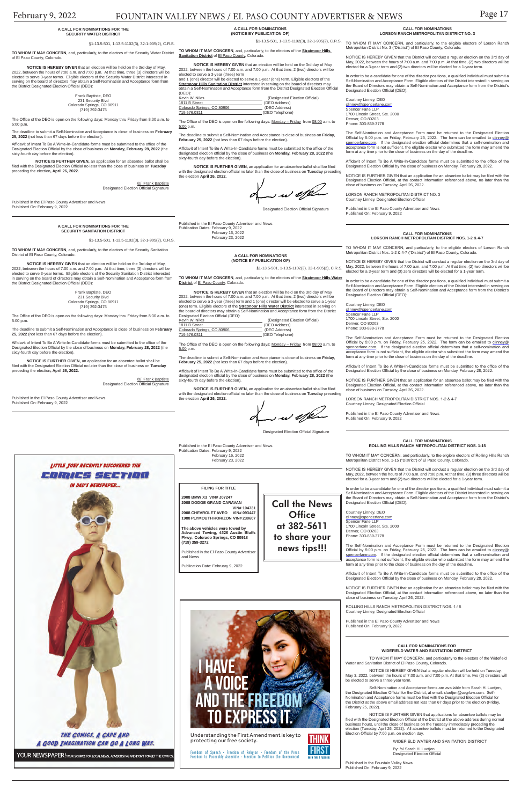### February 9, 2022 FOUNTAIN VALLEY NEWS / EL PASO COUNTY ADVERTISER & NEWS Page 17

**Call the News Office at 382-5611 to share your news tips!!!**

**FILING FOR TITLE**

**2008 BMW X3 VIN# J07247 2008 DODGE GRAND CARAVAN** 

Published in the El Paso County Advertise and News

 **VIN# 104731 2008 CHEVROLET AVEO VIN# 093447 1988 PLYMOUTH HORIZON VIN# 230607**

**The above vehicles were towed by Advanced Towing, 4526 Austin Bluffs Pkwy., Colorado Springs, CO 80918 (719) 359-3272**

Publication Date: February 9, 2022

### **A CALL FOR NOMINATIONS (NOTICE BY PUBLICATION OF)**

§1-13.5-501, 1-13.5-1102(3), 32-1-905(2), C.R.S.

**TO WHOM IT MAY CONCERN**, and, particularly, to the electors of the **Stratmoor Hills Water District** of El Paso County, Colorado.

The Office of the DEO is open on the following days: Monday - Friday from 08:00 a.m. to 5:00 p.m.

Affidavit of Intent To Be A Write-In-Candidate forms must be submitted to the office of the designated election official by the close of business on **Monday, February 28, 2022** (the sixty-fourth day before the election).

**NOTICE IS HEREBY GIVEN** that an election will be held on the 3rd day of May 2022, between the hours of 7:00 a.m. and 7:00 p.m. At that time, 2 (two) directors will be elected to serve a 3-year (three) term and 1 (one) director will be elected to serve a 1-year (one) term. Eligible electors of the **Stratmoor Hills Water District** interested in serving on the board of directors may obtain a Self-Nomination and Acceptance form from the District Designated Election Official (DEO):

**TO WHOM IT MAY CONCERN**, and, particularly, to the electors of the **Stratmoor Hills Sanitation District of El Paso County, Colorado.** 

| Kevin W. Niles             | (Designated Election Official) |
|----------------------------|--------------------------------|
| 1811 B Street              | (DEO Address)                  |
| Colorado Springs, CO 80906 | (DEO Address)                  |
| 719.576.0311               | (DEO Telephone)                |

The deadline to submit a Self-Nomination and Acceptance is close of business on **Friday, February 25, 2022** (not less than 67 days before the election).

The Office of the DEO is open on the following days: Monday - Friday from 08:00 a.m. to 5:00 p.m.

**NOTICE IS FURTHER GIVEN,** an application for an absentee ballot shall be filed with the designated election official no later than the close of business on **Tuesday** preceding the election **April 26, 2022.** 

 $\sim$  w effect

Designated Election Official Signature

Published in the El Paso County Advertiser and News Publication Dates: February 9, 2022 February 16, 2022 February 23, 2022

**A CALL FOR NOMINATIONS (NOTICE BY PUBLICATION OF)**

**NOTICE IS HEREBY GIVEN** that an election will be held on the 3rd day of May 2022, between the hours of 7:00 a.m. and 7:00 p.m. At that time, 2 (two) directors will be elected to serve a 3-year (three) term

and 1 (one) director will be elected to serve a 1-year (one) term. Eligible electors of the **Stratmoor Hills Sanitation District** interested in serving on the board of directors may obtain a Self-Nomination and Acceptance form from the District Designated Election Official (DEO):

> ROLLING HILLS RANCH METROPOLITAN DISTRICT NOS. 1-15 Courtney Linney, Designated Election Offic

| Kevin W. Niles             | (Designated Election Official) |
|----------------------------|--------------------------------|
| 1811 B Street              | (DEO Address)                  |
| Colorado Springs, CO 80906 | (DEO Address)                  |
| 719.576.0311               | (DEO Telephone)                |

The deadline to submit a Self-Nomination and Acceptance is close of business on **Friday, February 25, 2022** (not less than 67 days before the election).

Affidavit of Intent To Be A Write-In-Candidate forms must be submitted to the office of the designated election official by the close of business on **Monday, February 28, 2022** (the sixty-fourth day before the election).

**NOTICE IS FURTHER GIVEN,** an application for an absentee ballot shall be filed with the designated election official no later than the close of business on **Tuesday** preceding the election **April 26, 2022.** 

me us affeten

Designated Election Official Signature

Published in the El Paso County Advertiser and News Publication Dates: February 9, 2022 February 16, 2022 February 23, 2022

#### **CALL FOR NOMINATIONS ROLLING HILLS RANCH METROPOLITAN DISTRICT NOS. 1-15**

§1-13.5-501, 1-13.5-1102(3), 32-1-905(2), C.R.S. TO WHOM IT MAY CONCERN, and particularly, to the eligible electors of Lorson Ranch Metropolitan District No. 3 ("District") of El Paso County, Colorado.

> NOTICE IS HEREBY GIVEN that the District will conduct a regular election on the 3rd day of May, 2022, between the hours of 7:00 a.m. and 7:00 p.m. At that time, (2) two directors will be elected for a 3-year term and (2) two directors will be elected for a 1-year

> TO WHOM IT MAY CONCERN, and particularly, to the eligible electors of Rolling Hills Ranch Metropolitan District Nos. 1-15 ("District") of El Paso County, Colorado.

> NOTICE IS HEREBY GIVEN that the District will conduct a regular election on the 3rd day of May, 2022, between the hours of 7:00 a.m. and 7:00 p.m. At that time, (3) three directors will be elected for a 3-year term and (2) two directors will be elected for a 1-year term.

Courtney Linney, DEO<br>clinney@spencerfane.com Spencer Fane LLP 1700 Lincoln Street, Ste. 2000 Denver, CO 80203 Phone: 303-839-3778

In order to be a candidate for one of the director positions, a qualified individual must submit a Self-Nomination and Acceptance Form. Eligible electors of the District interested in serving on the Board of Directors may obtain a Self-Nomination and Acceptance form from the District's Designated Election Official (DEO):

Courtney Linney, DEO clinney@spencerfane.com Spencer Fane LLP 1700 Lincoln Street, Ste. 2000 Denver, CO 80203 Phone: 303-839-3778

LORSON RANCH METROPOLITAN DISTRICT NO. 3 Courtney Linney, Designated Election Offic

The Self-Nomination and Acceptance Form must be returned to the Designated Election Official by 5:00 p.m. on Friday, February 25, 2022. The form can be emailed to <u>clinney@</u><br><u>spencerfane.com</u>. If the designated election official determines that a self-nomination and acceptance form is not sufficient, the eligible elector who submitted the form may amend the form at any time prior to the close of business on the day of the deadline.

Affidavit of Intent To Be A Write-In-Candidate forms must be submitted to the office of the Designated Election Official by the close of business on Monday, February 28, 2022.

NOTICE IS FURTHER GIVEN that an application for an absentee ballot may be filed with the

 /s/ Frank Baptiste Designated Election Official Signature

> Designated Election Official, at the contact information referenced above, no later than the close of business on Tuesday, April 26, 2022.

Published in the El Paso County Advertiser and News Published On: February 9, 2022

#### **CALL FOR NOMINATIONS LORSON RANCH METROPOLITAN DISTRICT NOS. 1-2 & 4-7**

TO WHOM IT MAY CONCERN, and particularly, to the eligible electors of Lorson Ranch Metropolitan District Nos. 1-2 & 4-7 ("District") of El Paso County, Colorado.

NOTICE IS HEREBY GIVEN that the District will conduct a regular election on the 3rd day of May, 2022, between the hours of 7:00 a.m. and 7:00 p.m. At that time, (2) two directors will be elected for a 3-year term and (0) zero directors will be elected for a 1-year term.

In order to be a candidate for one of the director positions, a qualified individual must submit a<br>Self-Nomination and Acceptance Form. Eligible electors of the District interested in serving on<br>the Board of Directors may Designated Election Official (DFO)<sup>-</sup>

Courtney Linney, DEO clinney@spencerfane.com Spencer Fane LLP 1700 Lincoln Street, Ste. 2000 Denver, CO 80203 Phone: 303-839-3778

The Self-Nomination and Acceptance Form must be returned to the Designated Election Official by 5:00 p.m. on Friday, February 25, 2022. The form can be emailed to <u>clinney@</u><br><u>spencerfane.com</u>. If the designated election official determines that a self-nomination and acceptance form is not sufficient, the eligible elector who submitted the form may amend the form at any time prior to the close of business on the day of the deadline.

Affidavit of Intent To Be A Write-In-Candidate forms must be submitted to the office of the Designated Election Official by the close of business on Monday, February 28, 2022.

NOTICE IS FURTHER GIVEN that an application for an absentee ballot may be filed with the Designated Election Official, at the contact information referenced above, no later than the close of business on Tuesday, April 26, 2022.

LORSON RANCH METROPOLITAN DISTRICT NOS. 1-2 & 4-7 Courtney Linney, Designated Election Official

Published in the El Paso County Advertiser and News Published On: February 9, 2022

**CALL FOR NOMINATIONS LORSON RANCH METROPOLITAN DISTRICT NO. 3**

In order to be a candidate for one of the director positions, a qualified individual must submit a Self-Nomination and Acceptance Form. Eligible electors of the District interested in serving on the Board of Directors may obtain a Self-Nomination and Acceptance form from the District's Designated Election Official (DEO):

The Self-Nomination and Acceptance Form must be returned to the Designated Election Official by 5:00 p.m. on Friday, February 25, 2022. The form can be emailed to clinney@ spencerfane.com. If the designated election official determines that a self-nomination and acceptance form is not sufficient, the eligible elector who submitted the form may amend the form at any time prior to the close of business on the day of the deadline.

Affidavit of Intent To Be A Write-In-Candidate forms must be submitted to the office of the Designated Election Official by the close of business on Monday, February 28, 2022.

NOTICE IS FURTHER GIVEN that an application for an absentee ballot may be filed with the Designated Election Official, at the contact information referenced above, no later than the close of business on Tuesday, April 26, 2022.

Published in the El Paso County Advertiser and News Published On: February 9, 2022

### **A CALL FOR NOMINATIONS FOR THE SECURITY WATER DISTRICT**

### §1-13.5-501, 1-13.5-1102(3), 32-1-905(2), C.R.S.

**TO WHOM IT MAY CONCERN**, and, particularly, to the electors of the Security Water District of El Paso County, Colorado.

**NOTICE IS HEREBY GIVEN** that an election will be held on the 3rd day of May, 2022, between the hours of 7:00 a.m. and 7:00 p.m. At that time, three (3) directors will be elected to serve 3-year terms. Eligible electors of the Security Water District interested in serving on the board of directors may obtain a Self-Nomination and Acceptance form from the District Designated Election Official (DEO):

| Frank Baptiste, DEO        |  |
|----------------------------|--|
| 231 Security Blvd          |  |
| Colorado Springs, CO 80911 |  |
| (719) 392-3475             |  |

The Office of the DEO is open on the following days: Monday thru Friday from 8:30 a.m. to 5:00 p.m.

The deadline to submit a Self-Nomination and Acceptance is close of business on **February 25, 2022** (not less than 67 days before the election).

Affidavit of Intent To Be A Write-In-Candidate forms must be submitted to the office of the Designated Election Official by the close of business on **Monday, February 28, 2022** (the sixty-fourth day before the election).

**NOTICE IS FURTHER GIVEN,** an application for an absentee ballot shall be filed with the Designated Election Official no later than the close of business on **Tuesday**  preceding the election**, April 26, 2022.**

Published in the El Paso County Advertiser and News Published On: February 9, 2022

### **A CALL FOR NOMINATIONS FOR THE SECURITY SANITATION DISTRICT**

§1-13.5-501, 1-13.5-1102(3), 32-1-905(2), C.R.S.

**TO WHOM IT MAY CONCERN**, and, particularly, to the electors of the Security Sanitation District of El Paso County, Colorado.

**NOTICE IS HEREBY GIVEN** that an election will be held on the 3rd day of May, 2022, between the hours of 7:00 a.m. and 7:00 p.m. At that time, three (3) directors will be elected to serve 3-year terms. Eligible electors of the Security Sanitation District interested in serving on the board of directors may obtain a Self-Nomination and Acceptance form from the District Designated Election Official (DEO):

> Frank Baptiste, DEO 231 Security Blvd Colorado Springs, CO 80911 (719) 392-3475

 The Office of the DEO is open on the following days: Monday thru Friday from 8:30 a.m. to 5:00 p.m.

The deadline to submit a Self-Nomination and Acceptance is close of business on **February 25, 2022** (not less than 67 days before the election).

Affidavit of Intent To Be A Write-In-Candidate forms must be submitted to the office of the Designated Election Official by the close of business on **Monday, February 28, 2022** (the sixty-fourth day before the election).

**NOTICE IS FURTHER GIVEN,** an application for an absentee ballot shall be filed with the Designated Election Official no later than the close of business on **Tuesday**  preceding the election**, April 26, 2022.**

> LITTLE JOEY RECENTLY DISCOVERED THE COMUS SETION **IN DAD'S NEWSPAPER...**

 /s/ Frank Baptiste Designated Election Official Signature

Published in the El Paso County Advertiser and News Published On: February 9, 2022

#### **CALL FOR NOMINATIONS FOR WIDEFIELD WATER AND SANTIATION DISTRICT**

TO WHOM IT MAY CONCERN, and particularly to the electors of the Widefield Water and Sanitation District of El Paso County, Colorado.

NOTICE IS HEREBY GIVEN that a regular election will be held on Tuesday, May 3, 2022, between the hours of 7:00 a.m. and 7:00 p.m. At that time, two (2) directors will be elected to serve a three-year term.

Self-Nomination and Acceptance forms are available from Sarah H. Luetjen, the Designated Election Official for the District, at email: sluetjen@cegrlaw.com. Self-Nomination and Acceptance forms must be filed with the Designated Election Official for the District at the above email address not less than 67 days prior to the election (Friday, February 25, 2022).

NOTICE IS FURTHER GIVEN that applications for absentee ballots may be filed with the Designated Election Official of the District at the above address during normal business hours, until the close of business on the Tuesday immediately preceding the election (Tuesday, April 26, 2022). All absentee ballots must be returned to the Designated Election Official by 7:00 p.m. on election day.

WIDEFIELD WATER AND SANITATION DISTRICT

By: <u>/s/ Sarah H. Luetjen</u><br>Designated Election Official

Published in the Fountain Valley News Published On: February 9, 2022

**FIRST** 



Understanding the First Amendment is key to THINK protecting our free society.

Freedom of Speech • Freedom of Religion • Freedom of the Press<br>Freedom to Peaceably Assemble • Freedom to Petition the Government

Newspaper Ad - 3.79 x 4"

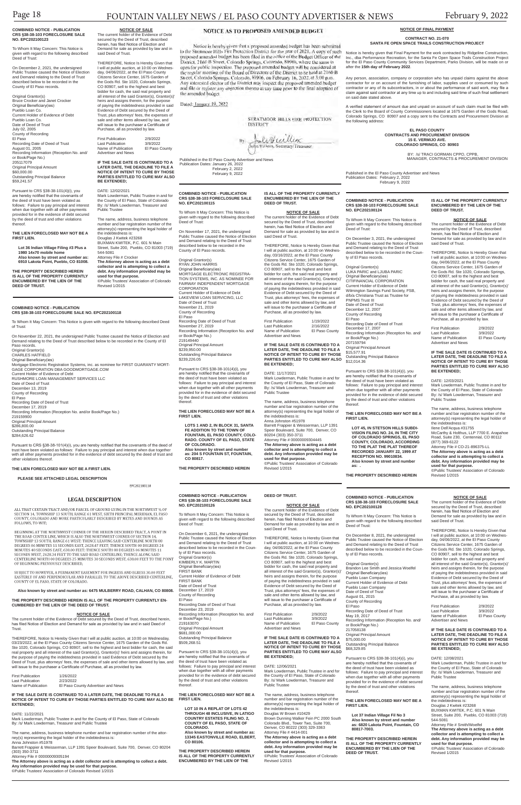**COMBINED NOTICE - PUBLICATION CRS §38-38-103 FORECLOSURE SALE NO. EPC202100118**

On November 22, 2021, the undersigned Public Trustee caused the Notice of Election and Demand relating to the Deed of Trust described below to be recorded in the County of El Paso records. Original Grantor(s) CHARLES HATFIELD Original Beneficiary(ies) Mortgage Electronic Registration Systems, inc. as nominee for FIRST GUARANTY MORT-GAGE CORPORATION DBA GOODMORTGAGE.COM Current Holder of Evidence of Debt RUSHMORE LOAN MANAGEMENT SERVICES LLC Date of Deed of Trust December 13, 2019 County of Recording El Paso Recording Date of Deed of Trust December 17, 2019 Recording Information (Reception No. and/or Book/Page No.) 219159900 Original Principal Amount \$286,800.00 Outstanding Principal Balance \$284,626.62

To Whom It May Concern: This Notice is given with regard to the following described Deed of Trust:

**NOTICE OF SALE**<br>The current holder of the Evidence of Debt secured by the Deed of Trust, described herein,<br>has filed Notice of Election and Demand for sale as provided by law and in said Deed of Trust.

Pursuant to CRS §38-38-101(4)(i), you are hereby notified that the covenants of the deed of trust have been violated as follows: Failure to pay principal and interest when due together with all other payments provided for in the evidence of debt secured by the deed of trust and other violations thereof.

### **THE LIEN FORECLOSED MAY NOT BE A FIRST LIEN.**

**PLEASE SEE ATTACHED LEGAL DESCRIPTION**

EPC202100118

### **LEGAL DESCRIPTION**

ALL THAT CERTAIN TRACT AND/OR PARCEL OF GROUND LYING IN THE NORTHWEST 1/4 OF SECTION 14, TOWNSHIP 13 SOUTH, RANGE 61 WEST, SIXTH PRINCIPAL MERIDIAN, EL PASO COUNTY, COLORADO AND MORE PARTICULARLY DESCRIBED BY METES AND BOUNDS AS FOLLOWS, TO-WIT;

BEGINNING AT THE NORTHWEST CORNER OF THE HEREIN DESCRIBED TRACT, A POINT IN THE ROAD CENTER LINE, WHICH IS ALSO THE NORTHWEST CORNER OF SECTION 14, CONDUCT IN DESCRIPTION OF DESCRIPTION OF DESCRIPTION AS TO DESCRIPTION OF MINUTES 48 SECONDS EAST, 638.00 FEET; THENCE SOUTH 88 DEGREES 06 MINUTES 11<br>SECONDS WEST, 2628.34 FEET TO THE SAID ROAD CENTERLINE; THENCE ALONG SAID<br>CENTERLINE NORTH 00 DEGREES 25 MINUTES 30 SECONDS WEST, 638.00 FEET TO T OF BEGINNING PREVIOUSLY DESCRIBED,

SUBJECT TO HOWEVER, A PERMANENT EASEMENT FOR INGRESS AND EGRESS 30.00 FEET EASTERLY OF AND PERPENDICULAR AND PARALLEL TO THE ABOVE DESCRIBED CENTERLINE, COUNTY OF EL PASO, STATE OF COLORADO.

### NOTICE AS TO PROPOSED AMENDED BUDGET

Notice is hereby given that a proposed amended budget has been submitted to the Stratmoor Hills Fire Protection District for the year of 2021. A copy of such proposed amended budget has been filed in the office of the Budget Officer of the District. 2160 B Street, Colorado Springs, Colorado, 80906, where the same is open for public inspection. The proposed amended budget will be considered at the regular meeting of the Board of Directors of the District to be held at 2160 B<br>Street, Colorado Springs, Colorado, 80906, on February 16, 2022, at 3:00 p.m. interested elector of the District may inspect the proposed amended budget and file or register any objection thereto at any time prior to the final adoption of the amended budget.

Dated: January 19, 2022

### **THE PROPERTY DESCRIBED HEREIN IS ALL OF THE PROPERTY CURRENTLY EN-CUMBERED BY THE LIEN OF THE DEED OF TRUST.**

THEREFORE, Notice Is Hereby Given that I will at public auction, at 10:00 on Wednesday, 03/23/2022, at the El Paso County Citizens Service Center, 1675 Garden of the Gods Rd. Ste 1020, Colorado Springs, CO 80907, sell to the highest and best bidder for cash, the said real property and all interest of the said Grantor(s), Grantor(s)' heirs and assigns therein, for the purpose of paying the indebtedness provided in said Evidence of Debt secured by the Deed of Trust, plus attorneys' fees, the expenses of sale and other items allowed by law, and will issue to the purchaser a Certificate of Purchase, all as provided by law.

| <b>First Publication</b> | 1/26/2022                          |
|--------------------------|------------------------------------|
| <b>Last Publication</b>  | 2/23/2022                          |
| Name of Publication      | El Paso County Advertiser and News |

#### **IF THE SALE DATE IS CONTINUED TO A LATER DATE, THE DEADLINE TO FILE A NOTICE OF INTENT TO CURE BY THOSE PARTIES ENTITLED TO CURE MAY ALSO BE FIRST LIEN. EXTENDED;**

### DATE: 11/22/2021

Mark Lowderman, Public Trustee in and for the County of El Paso, State of Colorado By: /s/ Mark Lowderman, Treasurer and Public Trustee

The name, address, business telephone number and bar registration number of the attorney(s) representing the legal holder of the indebtedness is: Anna Johnston #51978 Barrett Frappier & Weisserman, LLP 1391 Speer Boulevard, Suite 700, Denver, CO 80204 (303) 350-3711 Attorney File # 00000009305194

**The Attorney above is acting as a debt collector and is attempting to collect a debt. Any information provided may be used for that purpose.**

©Public Trustees' Association of Colorado Revised 1/2015

THEREFORE, Notice Is Hereby Given that I will at public auction, at 10:00 on Wednesday, 03/16/2022, at the El Paso County Citizens Service Center, 1675 Garden of the Gods Rd. Ste 1020, Colorado Springs, CO 80907, sell to the highest and best bidder for cash, the said real property and all interest of the said Grantor(s), Grantor(s)' heirs and assigns therein, for the purpose of paying the indebtedness provided in said Evidence of Debt secured by the Deed of Trust, plus attorneys' fees, the expenses of sale and other items allowed by law, and will issue to the purchaser a Certificate of Purchase, all as provided by law. First Publication 1/19/2022 Last Publication 2/16/2022<br>Name of Publication El Paso County

Published in the El Paso County Advertiser and News Publication Dates: January 26, 2022 February 2, 2022 February 9, 2022

### **NOTICE OF FINAL PAYMENT**

### **CONTRACT NO. 21-070 SANTA FE OPEN SPACE TRAILS CONSTRUCTION PROJECT**

Name of Publication Advertiser and News Notice is hereby given that Final Payment for the work contracted by Ridgeline Construction, Inc., dba Performance Recreation, for the Santa Fe Open Space Trails Construction Project for the El Paso County Community Services Department, Parks Division, will be made on or after the **15th day of February 2022**.

Any person, association, company or corporation who has unpaid claims against the above contractor for or on account of the furnishing of labor, supplies used or consumed by such contractor or any of its subcontractors, in or about the performance of said work, may file a claim against said contractor at any time up to and including said time of such final settlement on said date stated above.

A verified statement of amount due and unpaid on account of such claim must be filed with the Clerk to the Board of County Commissioners located at 1675 Garden of the Gods Road, Colorado Springs, CO 80907 and a copy sent to the Contracts and Procurement Division at the following address:

> **EL PASO COUNTY CONTRACTS AND PROCUREMENT DIVISION 15 E. VERMIJO AVE. COLORADO SPRINGS, CO 80903**

> > BY: /s/ TRACI GORMAN CPPO, CPPB, MANAGER, CONTRACTS & PROCUREMENT DIVISION

Published in the El Paso County Advertiser and News Publication Dates: February 2, 2022 February 9, 2022

#### **COMBINED NOTICE - PUBLICATION CRS §38-38-103 FORECLOSURE SALE NO. EPC202100115**

To Whom It May Concern: This Notice is given with regard to the following described Deed of Trust:

On November 17, 2021, the undersigned Public Trustee caused the Notice of Election and Demand relating to the Deed of Trust described below to be recorded in the County of El Paso records.

> First Publication 2/9/2022<br>Last Publication 3/9/2022 Last Publication 3/9/2022<br>Name of Publication El Paso County Name of Publication Advertiser and News

Original Grantor(s) RYAN JOHN HARRIS Original Beneficiary(ies) MORTGAGE ELECTRONIC REGISTRA-TION SYSTEMS, INC. AS NOMINEE FOR FAIRWAY INDEPENDENT MORTGAGE CORPORATION Current Holder of Evidence of Debt LAKEVIEW LOAN SERVICING, LLC Date of Deed of Trust November 21, 2019 County of Recording El Paso Recording Date of Deed of Trust November 27, 2019 Recording Information (Reception No. and/ or Book/Page No.) 219149440 Original Principal Amount \$239,950.00 Outstanding Principal Balance \$239,226.05

> Mark Lowderman, Public Trustee in and for the County of El Paso, State of Colorado By: /s/ Mark Lowderman, Treasurer and Public Trustee

Pursuant to CRS §38-38-101(4)(i), you are hereby notified that the covenants of the deed of trust have been violated as follows: Failure to pay principal and interest when due together with all other payments provided for in the evidence of debt secured by the deed of trust and other violations thereof.

**THE LIEN FORECLOSED MAY NOT BE A FIRST LIEN.**

**LOTS 1 AND 2, IN BLOCK 31, SANTA FE ADDITION TO THE TOWN OF FOUNTAIN, EL PASO COUNTY, COLO-RADO. COUNTY OF EL PASO, STATE OF COLORADO. Also known by street and number as: 204 S FOUNTAIN ST, FOUNTAIN, CO 80817.**

**THE PROPERTY DESCRIBED HEREIN** 

**IS ALL OF THE PROPERTY CURRENTLY** 

**DEED OF TRUST.**

**NOTICE OF SALE**

Demand for sale as provided by law and in

said Deed of Trust.

First Publication 2/9/2022<br>Last Publication 3/9/2022 Last Publication 3/9/2022<br>Name of Publication El Paso County Name of Publication Advertiser and News

### **ENCUMBERED BY THE LIEN OF THE**  The current holder of the Evidence of Debt secured by the Deed of Trust, described herein, has filed Notice of Election and **NO. EPC202100124**

**IF THE SALE DATE IS CONTINUED TO A LATER DATE, THE DEADLINE TO FILE A NOTICE OF INTENT TO CURE BY THOSE PARTIES ENTITLED TO CURE MAY ALSO** 

**BE EXTENDED;** DATE: 11/17/2021

Mark Lowderman, Public Trustee in and for the County of El Paso, State of Colorado By: /s/ Mark Lowderman, Treasurer and

Public Trustee

The name, address, business telephone number and bar registration number of the attorney(s) representing the legal holder of

\$509,268.51 Pursuant to CRS §38-38-101(4)(i), you the indebtedness is: Anna Johnston #51978

Barrett Frappier & Weisserman, LLP 1391 Speer Boulevard, Suite 700, Denver, CO

are hereby notified that the cove the deed of trust have been violated as follows: Failure to pay principal and interest when due together with all other payments provided for in the evidence of debt secured by the deed of trust and other violations thereof.

80204 (303) 350-3711 Attorney File # 00000009304445 **The Attorney above is acting as a debt collector and is attempting to collect a debt. Any information provided may be** 

**used for that purpose.**

©Public Trustees' Association of Colorado

Revised 1/2015

### **COMBINED NOTICE - PUBLICATION CRS §38-38-103 FORECLOSURE SALE**

To Whom It May Concern: This Notice is given with regard to the following described Deed of Trust:

On December 3, 2021, the undersigned Public Trustee caused the Notice of Election described below to be recorded in the Coun-

and Demand relating to the Deed of Trust ty of El Paso records.

First Publication 2/9/2022<br>Last Publication 3/9/2022 Last Publication 3/9/2022<br>Name of Publication El Paso County Name of Publication Advertiser and News

Original Grantor(s) LUKA PARIC and LJUBA PARIC Original Beneficiary(ies) CITIFINANCIAL CORPORATION Current Holder of Evidence of Debt Wilmington Savings Fund Society, FSB. d/b/a Christiana Trust as Trustee for PNPMS Trust III Date of Deed of Trust December 12, 2007 County of Recording El Paso

Recording Date of Deed of Trust

December 17, 2007 Recording Information (Reception No. and/ or Book/Page No.) 207159794 Original Principal Amount \$15,577.91

Outstanding Principal Balance \$12,014.36

Pursuant to CRS §38-38-101(4)(i), you

are hereby notified that the covenants of the deed of trust have been violated as follows: Failure to pay principal and interest when due together with all other payments provided for in the evidence of debt secured by the deed of trust and other violations

thereof. **THE LIEN FORECLOSED MAY NOT BE A** 

## **FIRST LIEN.**

**LOT 45, IN STETSON HILLS SUBDI-VISION FILING NO. 24, IN THE CITY OF COLORADO SPRINGS, EL PASO COUNTY, COLORADO, ACCORDING TO THE PLAT THE PLAT THEREOF RECORDED JANUARY 22, 1999 AT RECEPTION NO. 99010834. Also known by street and number** 

- 
- **as: .**

Page 18 FOUNTAIN VALLEY NEWS / EL PASO COUNTY ADVERTISER & NEWS February 9, 2022

**6475 MULBERRY ROAD, CALHAN, CO.** 

**THE PROPERTY DESCRIBED HEREIN** 

**IS ALL OF THE PROPERTY CURRENTLY ENCUMBERED BY THE LIEN OF THE DEED OF TRUST.**

**NOTICE OF SALE**

THEREFORE, Notice Is Hereby Given that I will at public auction, at 10:00 on Wednesday, 04/06/2022, at the El Paso County Citizens Service Center, 1675 Garden of the Gods Rd. Ste 1020, Colorado Springs, CO 80907, sell to the highest and best bidder for cash, the said real property and all interest of the said Grantor(s), Grantor(s)' heirs and assigns therein, for the purpose of paying the indebtedness provided in said Evidence of Debt secured by the Deed of Trust, plus attorneys' fees, the expenses of sale and other items allowed by law, and will issue to the purchaser a Certificate of Purchase, all as provided by law. First Publication 2/9/2022<br>Last Publication 3/9/2022

Name of Publication El Paso County

The current holder of the Evidence of Debt secured by the Deed of Trust, described herein, has filed Notice of Election and Demand for sale as provided by law and in said Deed of Trust.

THEREFORE, Notice Is Hereby Given that I will at public auction, at 10:00 on Wednesday, 04/06/2022, at the El Paso County Citizens Service Center, 1675 Garden of the Gods Rd. Ste 1020, Colorado Springs, CO 80907, sell to the highest and best bidder for cash, the said real property and all interest of the said Grantor(s), Grantor(s)' heirs and assigns therein, for the purpose of paying the indebtedness provided in said Evidence of Debt secured by the Deed of Trust, plus attorneys' fees, the expenses of sale and other items allowed by law, and will issue to the purchaser a Certificate of Purchase, all as provided by law.

**IF THE SALE DATE IS CONTINUED TO A LATER DATE, THE DEADLINE TO FILE A NOTICE OF INTENT TO CURE BY THOSE PARTIES ENTITLED TO CURE MAY ALSO BE EXTENDED;**

DATE: 12/03/2021

The name, address, business telephone number and bar registration number of the attorney(s) representing the legal holder of the indebtedness is:

Ilene Dell'Acqua #31755 McCarthy & Holthus, LLP 7700 E. Arapahoe Road, Suite 230, Centennial, CO 80112 (877) 369-6122

Attorney File # CO-21-896375-LL **The Attorney above is acting as a debt collector and is attempting to collect a debt. Any information provided may be used for that purpose.** ©Public Trustees' Association of Colorado Revised 1/2015

### **COMBINED NOTICE - PUBLICATION CRS §38-38-103 FORECLOSURE SALE NO. EPC202100128**

To Whom It May Concern: This Notice is given with regard to the following described Deed of Trust:

On December 8, 2021, the undersigned Public Trustee caused the Notice of Election and Demand relating to the Deed of Trust described below to be recorded in the County of El Paso records.

Original Grantor(s) Brandon Lee Smith and Jessica Woelfel Original Beneficiary(ies) Pueblo Loan Company Current Holder of Evidence of Debt Pueblo Loan Company )ate of Deed August 01, 2015 County of Recording El Paso Recording Date of Deed of Trust May 19, 2017 Recording Information (Reception No. and/ or Book/Page No.) 217058138 Original Principal Amount \$75,000.00 Outstanding Principal Balance \$68,329.85

Pursuant to CRS §38-38-101(4)(i), you are hereby notified that the covenants of the deed of trust have been violated as follows: Failure to pay principal and interest when due together with all other payments provided for in the evidence of debt secured by the deed of trust and other violations thereof.

### **THE LIEN FORECLOSED MAY NOT BE A FIRST LIEN.**

**Lot 37 Indian Village Fil No 3 Also known by street and number as: 6820 Lakota Point, Fountain, CO 80817-7003.**

**THE PROPERTY DESCRIBED HEREIN IS ALL OF THE PROPERTY CURRENTLY ENCUMBERED BY THE LIEN OF THE DEED OF TRUST.**

**NOTICE OF SALE**

The current holder of the Evidence of Debt secured by the Deed of Trust, described herein, has filed Notice of Election and Demand for sale as provided by law and in said Deed of Trust.

THEREFORE, Notice Is Hereby Given that I will at public auction, at 10:00 on Wednesday, 04/06/2022, at the El Paso County Citizens Service Center, 1675 Garden of the Gods Rd. Ste 1020, Colorado Springs, CO 80907, sell to the highest and best bidder for cash, the said real property and all interest of the said Grantor(s), Grantor(s)' heirs and assigns therein, for the purpose of paying the indebtedness provided in said Evidence of Debt secured by the Deed of Trust, plus attorneys' fees, the expenses of sale and other items allowed by law, and will issue to the purchaser a Certificate of Purchase, all as provided by law.

#### **IF THE SALE DATE IS CONTINUED TO A LATER DATE, THE DEADLINE TO FILE A NOTICE OF INTENT TO CURE BY THOSE PARTIES ENTITLED TO CURE MAY ALSO BE EXTENDED;**

### DATE: 12/08/2021

Mark Lowderman, Public Trustee in and for the County of El Paso, State of Colorado By: /s/ Mark Lowderman, Treasurer and Public Trustee

The name, address, business telephone number and bar registration number of the attorney(s) representing the legal holder of the indebtedness is: Douglas J Kwitek #23268 BUXMAN KWITEK, P.C. 601 N Main Street, Suite 200, Pueblo, CO 81003 (719) 544-5081 Attorney File # Smith/Woelfel **The Attorney above is acting as a debt collector and is attempting to collect a debt. Any information provided may be used for that purpose.** ©Public Trustees' Association of Colorado

Revised 1/2015

### **COMBINED NOTICE - PUBLICATION CRS §38-38-103 FORECLOSURE SALE NO. EPC202100126**

To Whom It May Concern: This Notice is

given with regard to the following described Deed of Trust: On December 6, 2021, the undersigned Public Trustee caused the Notice of Election and Demand relating to the Deed of Trust described below to be recorded in the County of El Paso records. Original Grantor(s) KIMBERLY K. MARTIN Original Beneficiary(ies) FIRST BANK Current Holder of Evidence of Debt FIRST BANK

Date of Deed of Trust

December 17, 2019

County of Recording El Paso Recording Date of Deed of Trust December 23, 2019 Recording Information (Reception No. and/ or Book/Page No.) 219163070 Original Principal Amount \$681,000.00 Outstanding Principal Balance

**THE LIEN FORECLOSED MAY NOT BE A** 

**LOT 10 IN A REPLAT OF LOTS 42 THROUGH 48 INCLUSIVE, IN LATIGO COUNTRY ESTATES FILING NO. 2, COUNTY OF EL PASO, STATE OF COLORADO. Also known by street and number as:** 

**13345 EASTONVILLE ROAD, ELBERT, CO 80106.**

**THE PROPERTY DESCRIBED HEREIN IS ALL OF THE PROPERTY CURRENTLY ENCUMBERED BY THE LIEN OF THE** 

**DEED OF TRUST.**

said Deed of Trust.

**NOTICE OF SALE** The current holder of the Evidence of Debt secured by the Deed of Trust, described herein, has filed Notice of Election and Demand for sale as provided by law and in

THEREFORE, Notice Is Hereby Given that I will at public auction, at 10:00 on Wednesday, 04/06/2022, at the El Paso County Citizens Service Center, 1675 Garden of the Gods Rd. Ste 1020, Colorado Springs CO 80907, sell to the highest and best bidder for cash, the said real property and all interest of the said Grantor(s), Grantor(s)' heirs and assigns therein, for the purpose of paying the indebtedness provided in said Evidence of Debt secured by the Deed of

Sulvet Willes By:

Trust, plus attorneys' fees, the expenses of sale and other items allowed by law, and will issue to the purchaser a Certificate of Purchase, all as provided by law.

**IF THE SALE DATE IS CONTINUED TO A LATER DATE, THE DEADLINE TO FILE A NOTICE OF INTENT TO CURE BY THOSE PARTIES ENTITLED TO CURE MAY ALSO BE EXTENDED;**

### DATE: 12/06/2021

Mark Lowderman, Public Trustee in and for the County of El Paso, State of Colorado By: /s/ Mark Lowderman, Treasurer and Public Trustee

The name, address, business telephone number and bar registration number of the attorney(s) representing the legal holder of the indebtedness is:

Douglas W Brown #10429 Brown Dunning Walker Fein PC 2000 South Colorado Blvd., Tower Two, Suite 700, Denver, CO 80222 (303) 329-3363 Attorney File # 4414-001

**The Attorney above is acting as a debt collector and is attempting to collect a debt. Any information provided may be used for that purpose.**

©Public Trustees' Association of Colorado Revised 1/2015

#### **COMBINED NOTICE - PUBLICATION CRS §38-38-103 FORECLOSURE SALE NO. EPC202100123**

To Whom It May Concern: This Notice is given with regard to the following described Deed of Trust:

On December 2, 2021, the undersigned Public Trustee caused the Notice of Election and Demand relating to the Deed of Trust described below to be recorded in the County of El Paso records.

Original Grantor(s) Bruce Crocker and Janet Crocker Original Beneficiary(ies) Pueblo Loan Co. Current Holder of Evidence of Debt Pueblo Loan Co. Date of Deed of Trust July 02, 2005 County of Recording El Paso Recording Date of Deed of Trust August 01, 2005 Recording Information (Reception No. and/ or Book/Page No.) 205117079 Original Principal Amount \$60,000.00 Outstanding Principal Balance \$59,241.57

Pursuant to CRS §38-38-101(4)(i), you are hereby notified that the covenants of the deed of trust have been violated as follows: Failure to pay principal and interest when due together with all other payments provided for in the evidence of debt secured by the deed of trust and other violations thereof.

**THE LIEN FORECLOSED MAY NOT BE A FIRST LIEN.**

- **Lot 36 lndian Village Filing #3 Plus a 1980 14x70 mobile home Also known by street and number as:**
- **6910 Lakota Point, Pueblo, CO 81008.**

**THE PROPERTY DESCRIBED HEREIN IS ALL OF THE PROPERTY CURRENTLY ENCUMBERED BY THE LIEN OF THE DEED OF TRUST.**

**NOTICE OF SALE** The current holder of the Evidence of Debt secured by the Deed of Trust, described herein, has filed Notice of Election and Demand for sale as provided by law and in

said Deed of Trust.

Last Publication

Advertiser and News

STRATMOOR HILLS FIRE PROTECTION **DISTRICT** 

**IF THE SALE DATE IS CONTINUED TO A LATER DATE, THE DEADLINE TO FILE A NOTICE OF INTENT TO CURE BY THOSE PARTIES ENTITLED TO CURE MAY ALSO** 

**BE EXTENDED;** DATE: 12/02/2021

Mark Lowderman, Public Trustee in and for the County of El Paso, State of Colorado By: /s/ Mark Lowderman, Treasurer and

Public Trustee

The name, address, business telephone number and bar registration number of the attorney(s) representing the legal holder of

the indebtedness is: Douglas J Kwitek #23268 BUXMAN KWITEK, P.C. 601 N Main Street, Suite 200, Pueblo, CO 81003 (719)

544-5081 Attorney File # Crocker

**The Attorney above is acting as a debt collector and is attempting to collect a debt. Any information provided may be used for that purpose.** ©Public Trustees' Association of Colorado

Revised 1/2015